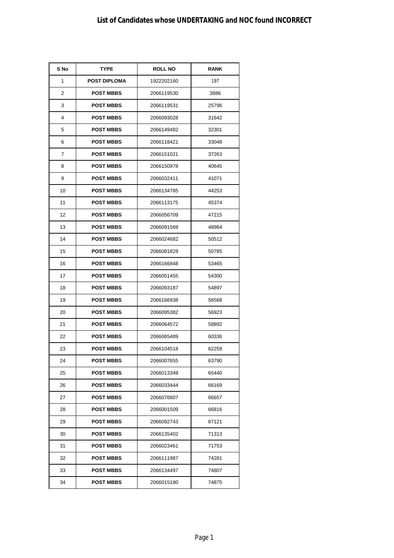| S No | <b>TYPE</b>         | <b>ROLL NO</b> | <b>RANK</b> |
|------|---------------------|----------------|-------------|
| 1    | <b>POST DIPLOMA</b> | 1922202160     | 197         |
| 2    | <b>POST MBBS</b>    | 2066119530     | 3886        |
| 3    | <b>POST MBBS</b>    | 2066119531     | 25796       |
| 4    | <b>POST MBBS</b>    | 2066093028     | 31642       |
| 5    | <b>POST MBBS</b>    | 2066149482     | 32301       |
| 6    | <b>POST MBBS</b>    | 2066118421     | 33048       |
| 7    | <b>POST MBBS</b>    | 2066151021     | 37263       |
| 8    | <b>POST MBBS</b>    | 2066150978     | 40645       |
| 9    | <b>POST MBBS</b>    | 2066032411     | 41071       |
| 10   | <b>POST MBBS</b>    | 2066134785     | 44253       |
| 11   | <b>POST MBBS</b>    | 2066113175     | 45374       |
| 12   | <b>POST MBBS</b>    | 2066056709     | 47215       |
| 13   | <b>POST MBBS</b>    | 2066091569     | 48984       |
| 14   | <b>POST MBBS</b>    | 2066024682     | 50512       |
| 15   | <b>POST MBBS</b>    | 2066081829     | 50785       |
| 16   | <b>POST MBBS</b>    | 2066166848     | 53465       |
| 17   | <b>POST MBBS</b>    | 2066051455     | 54300       |
| 18   | <b>POST MBBS</b>    | 2066093187     | 54897       |
| 19   | <b>POST MBBS</b>    | 2066166938     | 56568       |
| 20   | <b>POST MBBS</b>    | 2066095382     | 56923       |
| 21   | <b>POST MBBS</b>    | 2066064572     | 58892       |
| 22   | <b>POST MBBS</b>    | 2066065489     | 60336       |
| 23   | <b>POST MBBS</b>    | 2066104518     | 62259       |
| 24   | POST MBBS           | 2066007655     | 63790       |
| 25   | <b>POST MBBS</b>    | 2066013349     | 65440       |
| 26   | <b>POST MBBS</b>    | 2066033444     | 66169       |
| 27   | <b>POST MBBS</b>    | 2066076807     | 66657       |
| 28   | <b>POST MBBS</b>    | 2066001509     | 66816       |
| 29   | <b>POST MBBS</b>    | 2066092743     | 67121       |
| 30   | <b>POST MBBS</b>    | 2066135402     | 71313       |
| 31   | <b>POST MBBS</b>    | 2066023461     | 71753       |
| 32   | <b>POST MBBS</b>    | 2066111987     | 74281       |
| 33   | <b>POST MBBS</b>    | 2066134497     | 74807       |
| 34   | <b>POST MBBS</b>    | 2066015180     | 74875       |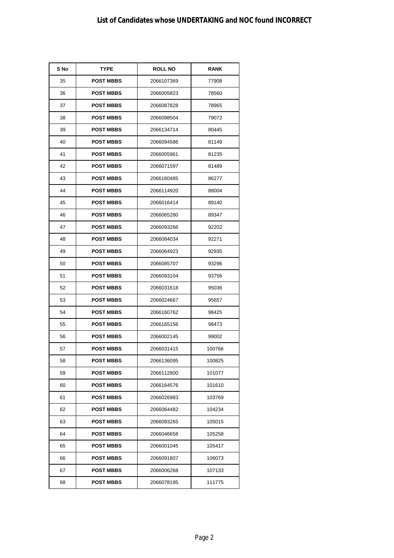| S No | <b>TYPE</b>      | <b>ROLL NO</b> | <b>RANK</b> |
|------|------------------|----------------|-------------|
| 35   | <b>POST MBBS</b> | 2066107369     | 77908       |
| 36   | <b>POST MBBS</b> | 2066005823     | 78560       |
| 37   | <b>POST MBBS</b> | 2066087828     | 78965       |
| 38   | <b>POST MBBS</b> | 2066098504     | 79072       |
| 39   | <b>POST MBBS</b> | 2066134714     | 80445       |
| 40   | <b>POST MBBS</b> | 2066094586     | 81149       |
| 41   | <b>POST MBBS</b> | 2066005961     | 81235       |
| 42   | <b>POST MBBS</b> | 2066071597     | 81489       |
| 43   | <b>POST MBBS</b> | 2066160485     | 86277       |
| 44   | <b>POST MBBS</b> | 2066114920     | 88004       |
| 45   | <b>POST MBBS</b> | 2066016414     | 89140       |
| 46   | <b>POST MBBS</b> | 2066065280     | 89347       |
| 47   | <b>POST MBBS</b> | 2066093266     | 92202       |
| 48   | <b>POST MBBS</b> | 2066084034     | 92271       |
| 49   | <b>POST MBBS</b> | 2066064923     | 92935       |
| 50   | <b>POST MBBS</b> | 2066085707     | 93296       |
| 51   | <b>POST MBBS</b> | 2066093104     | 93756       |
| 52   | <b>POST MBBS</b> | 2066031618     | 95036       |
| 53   | <b>POST MBBS</b> | 2066024667     | 95657       |
| 54   | <b>POST MBBS</b> | 2066160762     | 98425       |
| 55   | <b>POST MBBS</b> | 2066165156     | 98473       |
| 56   | <b>POST MBBS</b> | 2066002145     | 99002       |
| 57   | <b>POST MBBS</b> | 2066031415     | 100766      |
| 58   | <b>POST MBBS</b> | 2066136095     | 100825      |
| 59   | <b>POST MBBS</b> | 2066112800     | 101077      |
| 60   | <b>POST MBBS</b> | 2066164576     | 101610      |
| 61   | <b>POST MBBS</b> | 2066026983     | 103769      |
| 62   | <b>POST MBBS</b> | 2066064482     | 104234      |
| 63   | <b>POST MBBS</b> | 2066093265     | 105015      |
| 64   | <b>POST MBBS</b> | 2066046658     | 105258      |
| 65   | <b>POST MBBS</b> | 2066001045     | 105417      |
| 66   | <b>POST MBBS</b> | 2066091807     | 106073      |
| 67   | <b>POST MBBS</b> | 2066006268     | 107133      |
| 68   | <b>POST MBBS</b> | 2066078195     | 111775      |